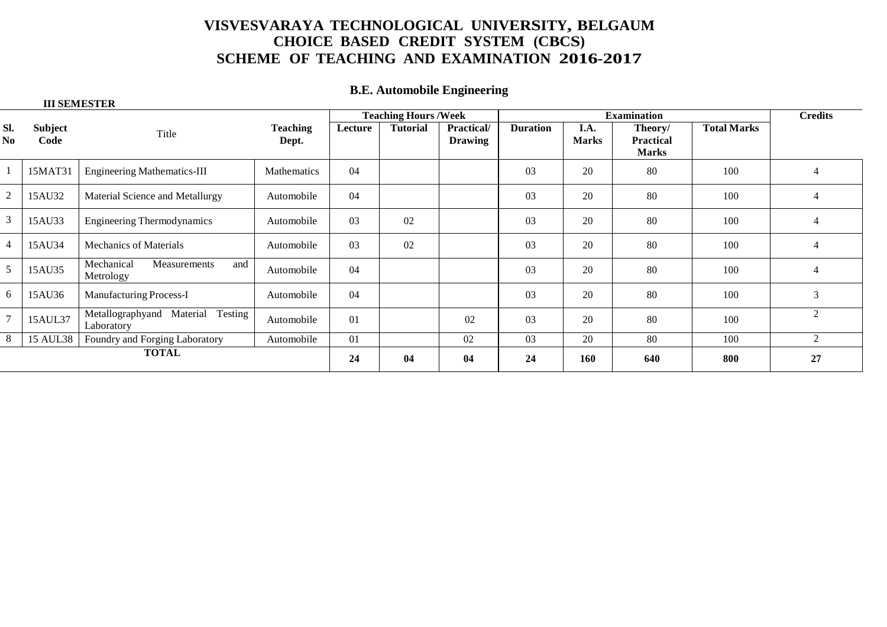### **B.E. Automobile Engineering**

|                | <b>III SEMESTER</b> |                                                    |                          |                             |                 |                              |                    |                      |                                             |                    |                |
|----------------|---------------------|----------------------------------------------------|--------------------------|-----------------------------|-----------------|------------------------------|--------------------|----------------------|---------------------------------------------|--------------------|----------------|
|                |                     |                                                    |                          | <b>Teaching Hours /Week</b> |                 |                              | <b>Examination</b> |                      |                                             |                    | <b>Credits</b> |
| SI.<br>No      | Subject<br>Code     | Title                                              | <b>Teaching</b><br>Dept. | Lecture                     | <b>Tutorial</b> | Practical/<br><b>Drawing</b> | <b>Duration</b>    | I.A.<br><b>Marks</b> | Theory/<br><b>Practical</b><br><b>Marks</b> | <b>Total Marks</b> |                |
|                | 15MAT31             | <b>Engineering Mathematics-III</b>                 | Mathematics              | 04                          |                 |                              | 03                 | 20                   | 80                                          | 100                | 4              |
| $\overline{2}$ | 15AU32              | Material Science and Metallurgy                    | Automobile               | 04                          |                 |                              | 03                 | 20                   | 80                                          | 100                | 4              |
| $\overline{3}$ | 15AU33              | <b>Engineering Thermodynamics</b>                  | Automobile               | 03                          | 02              |                              | 03                 | 20                   | 80                                          | 100                | 4              |
| $\overline{4}$ | 15AU34              | <b>Mechanics of Materials</b>                      | Automobile               | 03                          | 02              |                              | 03                 | 20                   | 80                                          | 100                | 4              |
| 5              | 15AU35              | Mechanical<br>Measurements<br>and<br>Metrology     | Automobile               | 04                          |                 |                              | 03                 | 20                   | 80                                          | 100                | 4              |
| 6              | 15AU36              | <b>Manufacturing Process-I</b>                     | Automobile               | 04                          |                 |                              | 03                 | 20                   | 80                                          | 100                | 3              |
| $\overline{7}$ | 15AUL37             | Testing<br>Metallographyand Material<br>Laboratory | Automobile               | 01                          |                 | 02                           | 03                 | 20                   | 80                                          | 100                | $\overline{c}$ |
| -8             | 15 AUL38            | Foundry and Forging Laboratory                     | Automobile               | 01                          |                 | 02                           | 03                 | 20                   | 80                                          | 100                | 2              |
| <b>TOTAL</b>   |                     |                                                    |                          | 24                          | 04              | 04                           | 24                 | 160                  | 640                                         | 800                | 27             |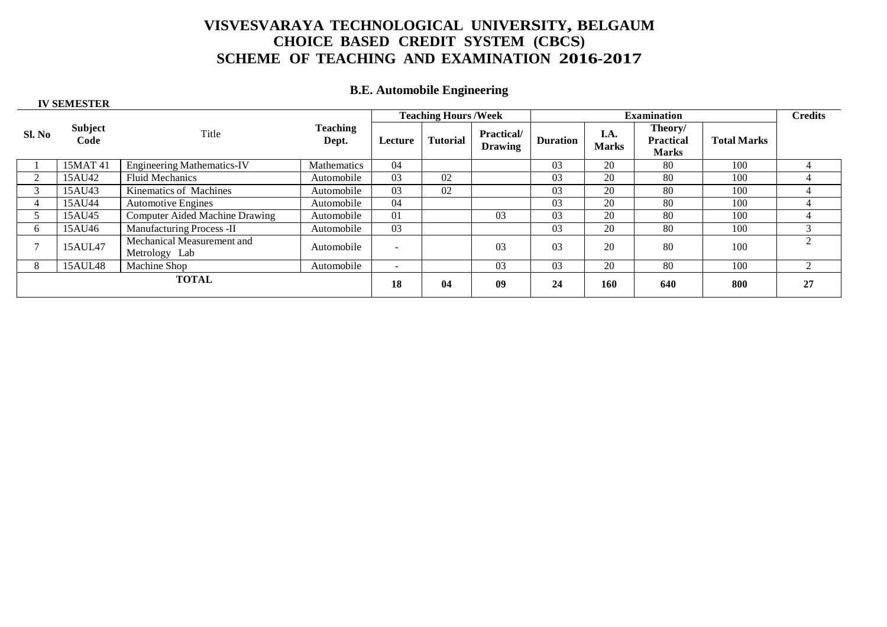### **B.E. Automobile Engineering**

| <b>IV SEMESTER</b> |                        |                                             |                          |                            |                 |                                     |                    |                      |                                             |                    |                |
|--------------------|------------------------|---------------------------------------------|--------------------------|----------------------------|-----------------|-------------------------------------|--------------------|----------------------|---------------------------------------------|--------------------|----------------|
|                    |                        |                                             |                          | <b>Teaching Hours/Week</b> |                 |                                     | <b>Examination</b> |                      |                                             |                    | <b>Credits</b> |
| Sl. No             | <b>Subject</b><br>Code | Title                                       | <b>Teaching</b><br>Dept. | Lecture                    | <b>Tutorial</b> | <b>Practical/</b><br><b>Drawing</b> | <b>Duration</b>    | I.A.<br><b>Marks</b> | Theory/<br><b>Practical</b><br><b>Marks</b> | <b>Total Marks</b> |                |
|                    | 15MAT 41               | <b>Engineering Mathematics-IV</b>           | Mathematics              | 04                         |                 |                                     | 03                 | 20                   | 80                                          | 100                |                |
|                    | 15AU42                 | <b>Fluid Mechanics</b>                      | Automobile               | 03                         | 02              |                                     | 03                 | 20                   | 80                                          | 100                | 4              |
| $\mathcal{R}$      | 15AU43                 | Kinematics of Machines                      | Automobile               | 03                         | 02              |                                     | 03                 | 20                   | 80                                          | 100                | 4              |
|                    | 15AU44                 | <b>Automotive Engines</b>                   | Automobile               | 04                         |                 |                                     | 03                 | 20                   | 80                                          | 100                | 4              |
|                    | 15AU45                 | Computer Aided Machine Drawing              | Automobile               | 01                         |                 | 03                                  | 03                 | 20                   | 80                                          | 100                | 4              |
| 6.                 | 15AU46                 | Manufacturing Process -II                   | Automobile               | 03                         |                 |                                     | 03                 | 20                   | 80                                          | 100                | $\sim$         |
|                    | 15AUL47                | Mechanical Measurement and<br>Metrology Lab | Automobile               | $\overline{\phantom{a}}$   |                 | 0 <sub>3</sub>                      | 0 <sub>3</sub>     | 20                   | 80                                          | 100                | 2              |
| 8                  | 15AUL48                | Machine Shop                                | Automobile               | $\sim$                     |                 | 03                                  | 03                 | 20                   | 80                                          | 100                | 2              |
| <b>TOTAL</b>       |                        |                                             |                          | 18                         | 04              | 09                                  | 24                 | 160                  | 640                                         | 800                | 27             |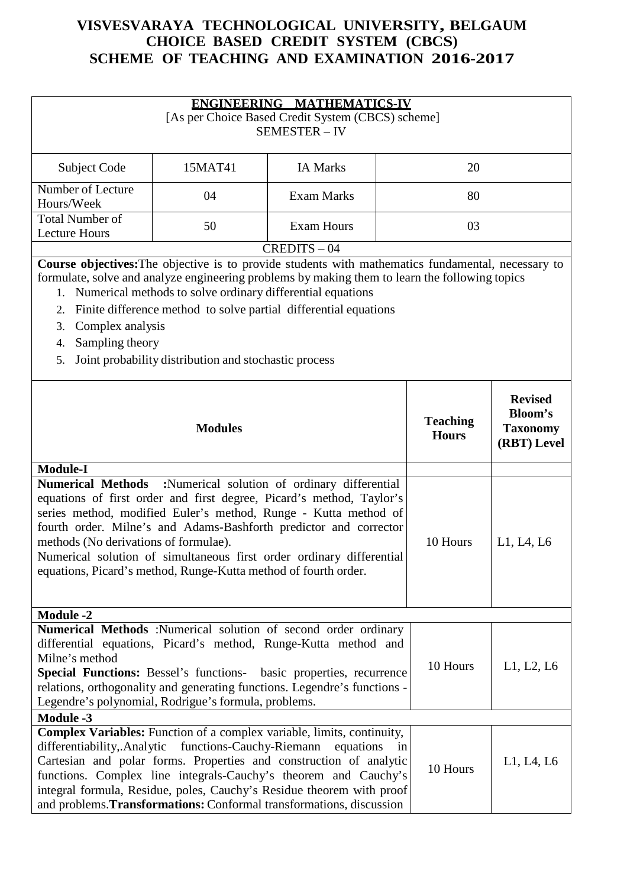| <b>ENGINEERING MATHEMATICS-IV</b><br>[As per Choice Based Credit System (CBCS) scheme]<br><b>SEMESTER - IV</b>                                                                                                                                                                                                                                                                                                                                                               |                            |                   |    |          |            |
|------------------------------------------------------------------------------------------------------------------------------------------------------------------------------------------------------------------------------------------------------------------------------------------------------------------------------------------------------------------------------------------------------------------------------------------------------------------------------|----------------------------|-------------------|----|----------|------------|
| Subject Code                                                                                                                                                                                                                                                                                                                                                                                                                                                                 | 15MAT41<br><b>IA Marks</b> |                   |    |          |            |
| Number of Lecture<br>Hours/Week                                                                                                                                                                                                                                                                                                                                                                                                                                              | 04                         | <b>Exam Marks</b> |    | 80       |            |
| <b>Total Number of</b><br><b>Lecture Hours</b>                                                                                                                                                                                                                                                                                                                                                                                                                               | 50                         | <b>Exam Hours</b> |    | 03       |            |
|                                                                                                                                                                                                                                                                                                                                                                                                                                                                              |                            | $CREDITS - 04$    |    |          |            |
| Course objectives: The objective is to provide students with mathematics fundamental, necessary to<br>formulate, solve and analyze engineering problems by making them to learn the following topics<br>1. Numerical methods to solve ordinary differential equations<br>Finite difference method to solve partial differential equations<br>2.<br>Complex analysis<br>3.<br>Sampling theory<br>4.<br>Joint probability distribution and stochastic process<br>5.            |                            |                   |    |          |            |
| <b>Revised</b><br><b>Bloom's</b><br><b>Teaching</b><br><b>Modules</b><br><b>Taxonomy</b><br><b>Hours</b><br>(RBT) Level                                                                                                                                                                                                                                                                                                                                                      |                            |                   |    |          |            |
| <b>Module-I</b>                                                                                                                                                                                                                                                                                                                                                                                                                                                              |                            |                   |    |          |            |
| :Numerical solution of ordinary differential<br><b>Numerical Methods</b><br>equations of first order and first degree, Picard's method, Taylor's<br>series method, modified Euler's method, Runge - Kutta method of<br>fourth order. Milne's and Adams-Bashforth predictor and corrector<br>methods (No derivations of formulae).<br>Numerical solution of simultaneous first order ordinary differential<br>equations, Picard's method, Runge-Kutta method of fourth order. |                            |                   |    | 10 Hours | L1, L4, L6 |
| <b>Module -2</b>                                                                                                                                                                                                                                                                                                                                                                                                                                                             |                            |                   |    |          |            |
| Numerical Methods :Numerical solution of second order ordinary<br>differential equations, Picard's method, Runge-Kutta method and<br>Milne's method<br>Special Functions: Bessel's functions- basic properties, recurrence<br>relations, orthogonality and generating functions. Legendre's functions -<br>Legendre's polynomial, Rodrigue's formula, problems.                                                                                                              |                            |                   |    | 10 Hours | L1, L2, L6 |
| <b>Module -3</b>                                                                                                                                                                                                                                                                                                                                                                                                                                                             |                            |                   |    |          |            |
| Complex Variables: Function of a complex variable, limits, continuity,<br>differentiability, Analytic functions-Cauchy-Riemann<br>Cartesian and polar forms. Properties and construction of analytic<br>functions. Complex line integrals-Cauchy's theorem and Cauchy's<br>integral formula, Residue, poles, Cauchy's Residue theorem with proof<br>and problems. Transformations: Conformal transformations, discussion                                                     |                            | equations         | in | 10 Hours | L1, L4, L6 |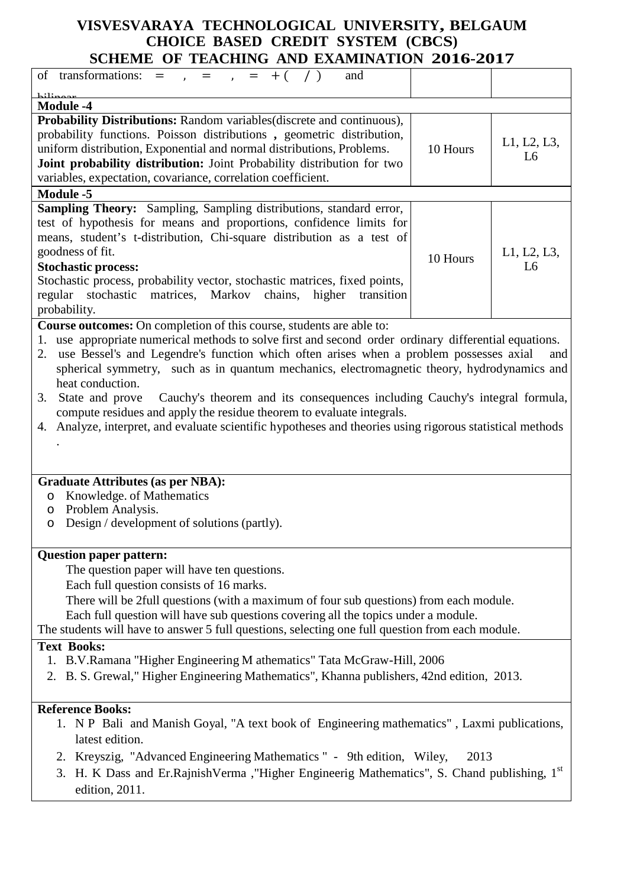| of transformations: = $, =$ $, =$ $+$ ( /)<br>and                             |          |                |
|-------------------------------------------------------------------------------|----------|----------------|
| 1.11                                                                          |          |                |
| <b>Module -4</b>                                                              |          |                |
| <b>Probability Distributions:</b> Random variables (discrete and continuous), |          |                |
| probability functions. Poisson distributions, geometric distribution,         |          |                |
| uniform distribution, Exponential and normal distributions, Problems.         | 10 Hours | L1, L2, L3,    |
| Joint probability distribution: Joint Probability distribution for two        |          | L <sub>6</sub> |
|                                                                               |          |                |
| variables, expectation, covariance, correlation coefficient.                  |          |                |
| <b>Module -5</b>                                                              |          |                |
| <b>Sampling Theory:</b> Sampling, Sampling distributions, standard error,     |          |                |
| test of hypothesis for means and proportions, confidence limits for           |          |                |
| means, student's t-distribution, Chi-square distribution as a test of         |          |                |
| goodness of fit.                                                              | 10 Hours | L1, L2, L3,    |
| <b>Stochastic process:</b>                                                    |          | L6             |
| Stochastic process, probability vector, stochastic matrices, fixed points,    |          |                |
| regular stochastic matrices, Markov chains, higher<br>transition              |          |                |
| probability.                                                                  |          |                |
| $\sim$ $\sim$<br>$\sim$ $\sim$<br>$\mathbf{1}$                                |          |                |

**Course outcomes:** On completion of this course, students are able to:

1. use appropriate numerical methods to solve first and second order ordinary differential equations.

2. use Bessel's and Legendre's function which often arises when a problem possesses axial and spherical symmetry, such as in quantum mechanics, electromagnetic theory, hydrodynamics and heat conduction.

- 3. State and prove Cauchy's theorem and its consequences including Cauchy's integral formula, compute residues and apply the residue theorem to evaluate integrals.
- 4. Analyze, interpret, and evaluate scientific hypotheses and theories using rigorous statistical methods

#### **Graduate Attributes (as per NBA):**

- o Knowledge. of Mathematics
- o Problem Analysis.
- o Design / development of solutions (partly).

#### **Question paper pattern:**

The question paper will have ten questions.

Each full question consists of 16 marks.

There will be 2full questions (with a maximum of four sub questions) from each module.

Each full question will have sub questions covering all the topics under a module.

The students will have to answer 5 full questions, selecting one full question from each module.

#### **Text Books:**

.

- 1. B.V.Ramana "Higher Engineering M athematics" Tata McGraw-Hill, 2006
- 2. B. S. Grewal," Higher Engineering Mathematics", Khanna publishers, 42nd edition, 2013.

#### **Reference Books:**

- 1. N P Bali and Manish Goyal, "A text book of Engineering mathematics" , Laxmi publications, latest edition.
- 2. Kreyszig, "Advanced Engineering Mathematics " 9th edition, Wiley, 2013
- 3. H. K Dass and Er.RajnishVerma, "Higher Engineerig Mathematics", S. Chand publishing, 1<sup>st</sup> edition, 2011.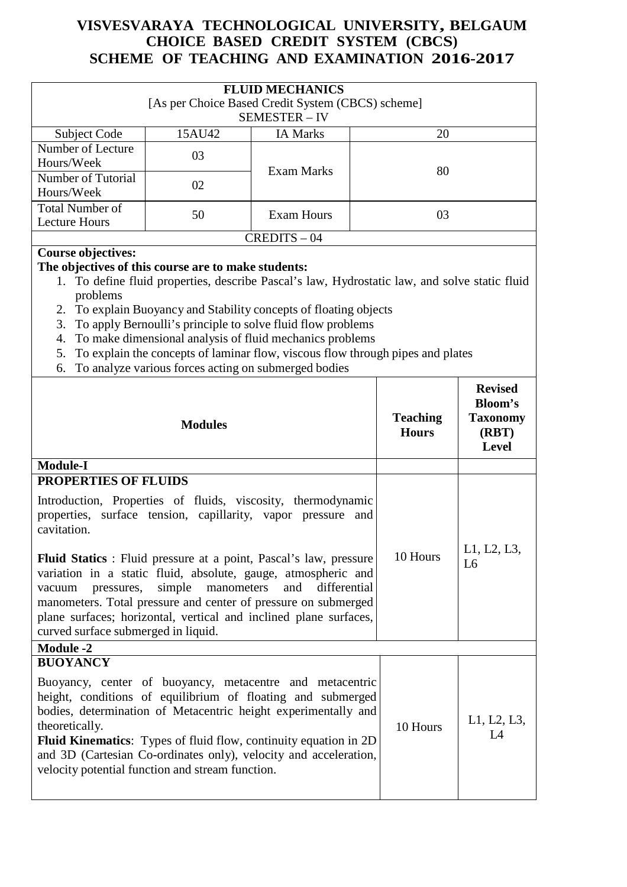| <b>FLUID MECHANICS</b><br>[As per Choice Based Credit System (CBCS) scheme]<br>SEMESTER - IV |        |                 |    |  |  |
|----------------------------------------------------------------------------------------------|--------|-----------------|----|--|--|
| Subject Code                                                                                 | 15AU42 | <b>IA Marks</b> | 20 |  |  |
| Number of Lecture<br>Hours/Week                                                              | 03     | Exam Marks      | 80 |  |  |
| Number of Tutorial<br>Hours/Week                                                             | 02     |                 |    |  |  |
| <b>Total Number of</b><br><b>Lecture Hours</b>                                               | 50     | Exam Hours      | 03 |  |  |
| $CREDITS - 04$                                                                               |        |                 |    |  |  |
| Course objectives                                                                            |        |                 |    |  |  |

#### **Course objectives:**

### **The objectives of this course are to make students:**

- 1. To define fluid properties, describe Pascal's law, Hydrostatic law, and solve static fluid problems
- 2. To explain Buoyancy and Stability concepts of floating objects
- 3. To apply Bernoulli's principle to solve fluid flow problems
- 4. To make dimensional analysis of fluid mechanics problems
- 5. To explain the concepts of laminar flow, viscous flow through pipes and plates
- 6. To analyze various forces acting on submerged bodies

| <b>Modules</b>                                                                                                                                                                                                                                                                                                                                                                                                                    | <b>Teaching</b><br><b>Hours</b> | <b>Revised</b><br><b>Bloom's</b><br><b>Taxonomy</b><br>(RBT)<br><b>Level</b> |
|-----------------------------------------------------------------------------------------------------------------------------------------------------------------------------------------------------------------------------------------------------------------------------------------------------------------------------------------------------------------------------------------------------------------------------------|---------------------------------|------------------------------------------------------------------------------|
| <b>Module-I</b>                                                                                                                                                                                                                                                                                                                                                                                                                   |                                 |                                                                              |
| <b>PROPERTIES OF FLUIDS</b>                                                                                                                                                                                                                                                                                                                                                                                                       |                                 |                                                                              |
| Introduction, Properties of fluids, viscosity, thermodynamic<br>properties, surface tension, capillarity, vapor pressure and<br>cavitation.                                                                                                                                                                                                                                                                                       |                                 |                                                                              |
| <b>Fluid Statics</b> : Fluid pressure at a point, Pascal's law, pressure<br>variation in a static fluid, absolute, gauge, atmospheric and<br>simple manometers<br>and<br>differential<br>pressures,<br>vacuum<br>manometers. Total pressure and center of pressure on submerged<br>plane surfaces; horizontal, vertical and inclined plane surfaces,<br>curved surface submerged in liquid.                                       | 10 Hours                        | L1, L2, L3,<br>L6                                                            |
| <b>Module -2</b>                                                                                                                                                                                                                                                                                                                                                                                                                  |                                 |                                                                              |
| <b>BUOYANCY</b><br>Buoyancy, center of buoyancy, metacentre and metacentric<br>height, conditions of equilibrium of floating and submerged<br>bodies, determination of Metacentric height experimentally and<br>theoretically.<br><b>Fluid Kinematics:</b> Types of fluid flow, continuity equation in 2D<br>and 3D (Cartesian Co-ordinates only), velocity and acceleration,<br>velocity potential function and stream function. | 10 Hours                        | L1, L2, L3,<br>L4                                                            |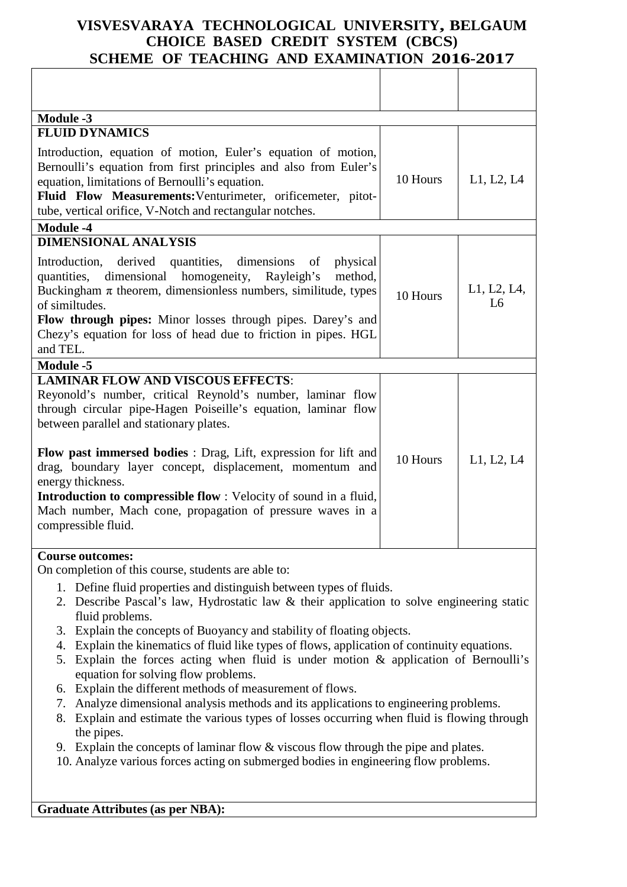| <b>Module -3</b>                                                                                                                                                                                                                                                                                                                                                                                                                                                                                                                         |          |                   |
|------------------------------------------------------------------------------------------------------------------------------------------------------------------------------------------------------------------------------------------------------------------------------------------------------------------------------------------------------------------------------------------------------------------------------------------------------------------------------------------------------------------------------------------|----------|-------------------|
| <b>FLUID DYNAMICS</b>                                                                                                                                                                                                                                                                                                                                                                                                                                                                                                                    |          |                   |
| Introduction, equation of motion, Euler's equation of motion,<br>Bernoulli's equation from first principles and also from Euler's<br>equation, limitations of Bernoulli's equation.<br>Fluid Flow Measurements: Venturimeter, orificemeter, pitot-<br>tube, vertical orifice, V-Notch and rectangular notches.                                                                                                                                                                                                                           | 10 Hours | L1, L2, L4        |
| <b>Module -4</b>                                                                                                                                                                                                                                                                                                                                                                                                                                                                                                                         |          |                   |
| <b>DIMENSIONAL ANALYSIS</b><br>quantities,<br>dimensions<br>Introduction,<br>derived<br>physical<br>of<br>dimensional<br>homogeneity,<br>Rayleigh's<br>method,<br>quantities,<br>Buckingham $\pi$ theorem, dimensionless numbers, similitude, types<br>of similtudes.<br><b>Flow through pipes:</b> Minor losses through pipes. Darey's and<br>Chezy's equation for loss of head due to friction in pipes. HGL<br>and TEL.                                                                                                               | 10 Hours | L1, L2, L4,<br>L6 |
| <b>Module -5</b>                                                                                                                                                                                                                                                                                                                                                                                                                                                                                                                         |          |                   |
| <b>LAMINAR FLOW AND VISCOUS EFFECTS:</b><br>Reyonold's number, critical Reynold's number, laminar flow<br>through circular pipe-Hagen Poiseille's equation, laminar flow<br>between parallel and stationary plates.<br>Flow past immersed bodies : Drag, Lift, expression for lift and<br>drag, boundary layer concept, displacement, momentum and<br>energy thickness.<br><b>Introduction to compressible flow</b> : Velocity of sound in a fluid,<br>Mach number, Mach cone, propagation of pressure waves in a<br>compressible fluid. | 10 Hours | L1, L2, L4        |
| <b>Course outcomes:</b><br>On completion of this course, students are able to:                                                                                                                                                                                                                                                                                                                                                                                                                                                           |          |                   |

- 1. Define fluid properties and distinguish between types of fluids.
- 2. Describe Pascal's law, Hydrostatic law & their application to solve engineering static fluid problems.
- 3. Explain the concepts of Buoyancy and stability of floating objects.
- 4. Explain the kinematics of fluid like types of flows, application of continuity equations.
- 5. Explain the forces acting when fluid is under motion & application of Bernoulli's equation for solving flow problems.
- 6. Explain the different methods of measurement of flows.
- 7. Analyze dimensional analysis methods and its applications to engineering problems.
- 8. Explain and estimate the various types of losses occurring when fluid is flowing through the pipes.
- 9. Explain the concepts of laminar flow & viscous flow through the pipe and plates.
- 10. Analyze various forces acting on submerged bodies in engineering flow problems.

**Graduate Attributes (as per NBA):**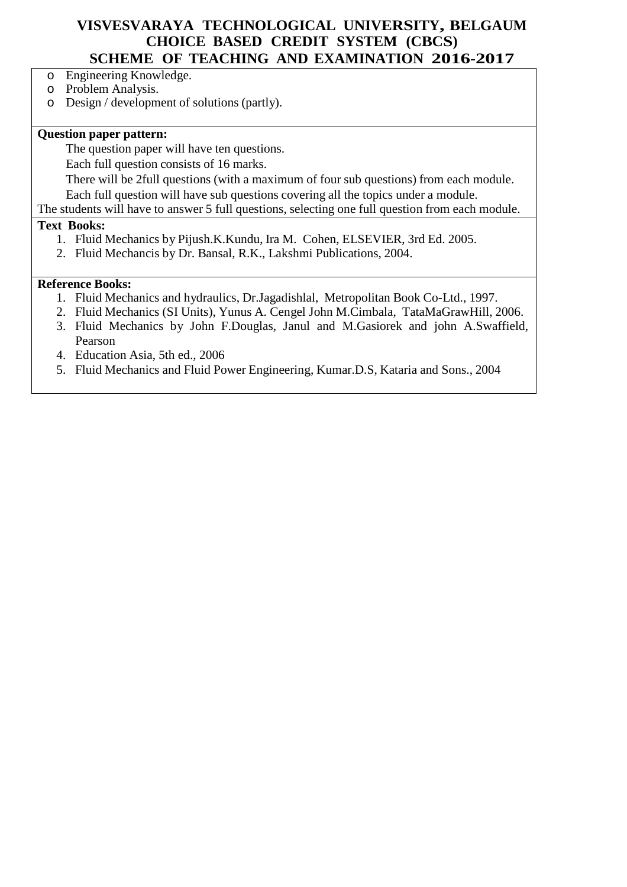- o Engineering Knowledge.
- o Problem Analysis.

o Design / development of solutions (partly).

### **Question paper pattern:**

The question paper will have ten questions.

Each full question consists of 16 marks.

There will be 2full questions (with a maximum of four sub questions) from each module. Each full question will have sub questions covering all the topics under a module.

The students will have to answer 5 full questions, selecting one full question from each module.

#### **Text Books:**

- 1. Fluid Mechanics by Pijush.K.Kundu, Ira M. Cohen, ELSEVIER, 3rd Ed. 2005.
- 2. Fluid Mechancis by Dr. Bansal, R.K., Lakshmi Publications, 2004.

#### **Reference Books:**

- 1. Fluid Mechanics and hydraulics, Dr.Jagadishlal, Metropolitan Book Co-Ltd., 1997.
- 2. Fluid Mechanics (SI Units), Yunus A. Cengel John M.Cimbala, TataMaGrawHill, 2006.
- 3. Fluid Mechanics by John F.Douglas, Janul and M.Gasiorek and john A.Swaffield, Pearson
- 4. Education Asia, 5th ed., 2006
- 5. Fluid Mechanics and Fluid Power Engineering, Kumar.D.S, Kataria and Sons., 2004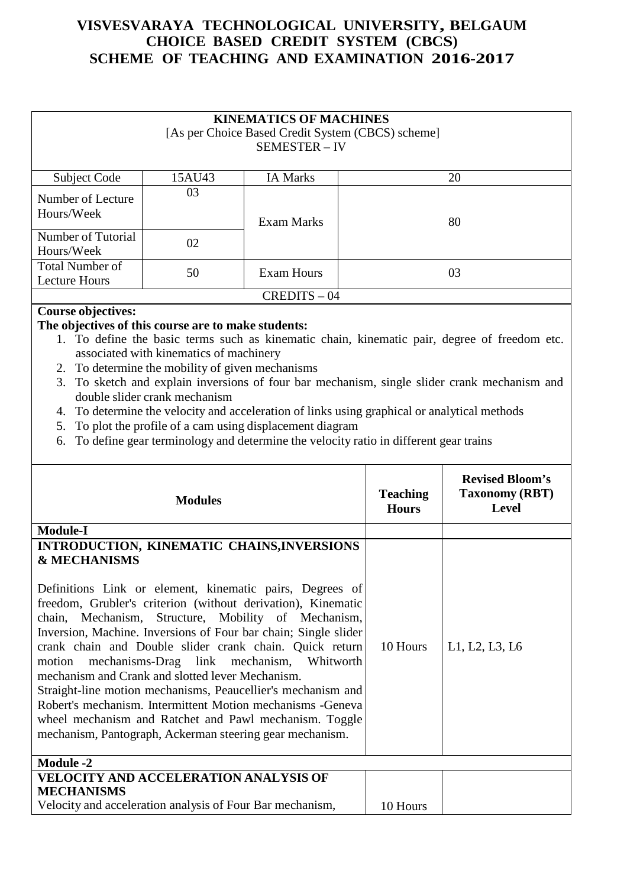| <b>KINEMATICS OF MACHINES</b><br>[As per Choice Based Credit System (CBCS) scheme]<br><b>SEMESTER - IV</b> |        |                   |    |  |  |  |
|------------------------------------------------------------------------------------------------------------|--------|-------------------|----|--|--|--|
| Subject Code                                                                                               | 15AU43 | <b>IA Marks</b>   | 20 |  |  |  |
| Number of Lecture<br>Hours/Week                                                                            | 03     | <b>Exam Marks</b> | 80 |  |  |  |
| Number of Tutorial<br>Hours/Week                                                                           | 02     |                   |    |  |  |  |
| <b>Total Number of</b><br><b>Lecture Hours</b>                                                             | 50     | Exam Hours        | 03 |  |  |  |
| $CREDITS - 04$                                                                                             |        |                   |    |  |  |  |

### **Course objectives:**

#### **The objectives of this course are to make students:**

- 1. To define the basic terms such as kinematic chain, kinematic pair, degree of freedom etc. associated with kinematics of machinery
- 2. To determine the mobility of given mechanisms
- 3. To sketch and explain inversions of four bar mechanism, single slider crank mechanism and double slider crank mechanism
- 4. To determine the velocity and acceleration of links using graphical or analytical methods
- 5. To plot the profile of a cam using displacement diagram
- 6. To define gear terminology and determine the velocity ratio in different gear trains

| <b>Modules</b>                                                                                                                                                                                                                                                                                                                                                                                                                                                                                                                                                                                                                                                                                                                                      | <b>Teaching</b><br><b>Hours</b> | <b>Revised Bloom's</b><br><b>Taxonomy (RBT)</b><br><b>Level</b> |
|-----------------------------------------------------------------------------------------------------------------------------------------------------------------------------------------------------------------------------------------------------------------------------------------------------------------------------------------------------------------------------------------------------------------------------------------------------------------------------------------------------------------------------------------------------------------------------------------------------------------------------------------------------------------------------------------------------------------------------------------------------|---------------------------------|-----------------------------------------------------------------|
| <b>Module-I</b>                                                                                                                                                                                                                                                                                                                                                                                                                                                                                                                                                                                                                                                                                                                                     |                                 |                                                                 |
| INTRODUCTION, KINEMATIC CHAINS, INVERSIONS<br><b>&amp; MECHANISMS</b><br>Definitions Link or element, kinematic pairs, Degrees of<br>freedom, Grubler's criterion (without derivation), Kinematic<br>chain, Mechanism, Structure, Mobility of Mechanism,<br>Inversion, Machine. Inversions of Four bar chain; Single slider<br>crank chain and Double slider crank chain. Quick return<br>motion mechanisms-Drag link mechanism, Whitworth<br>mechanism and Crank and slotted lever Mechanism.<br>Straight-line motion mechanisms, Peaucellier's mechanism and<br>Robert's mechanism. Intermittent Motion mechanisms - Geneva<br>wheel mechanism and Ratchet and Pawl mechanism. Toggle<br>mechanism, Pantograph, Ackerman steering gear mechanism. | 10 Hours                        | L1, L2, L3, L6                                                  |
| <b>Module -2</b>                                                                                                                                                                                                                                                                                                                                                                                                                                                                                                                                                                                                                                                                                                                                    |                                 |                                                                 |
| <b>VELOCITY AND ACCELERATION ANALYSIS OF</b><br><b>MECHANISMS</b><br>Velocity and acceleration analysis of Four Bar mechanism,                                                                                                                                                                                                                                                                                                                                                                                                                                                                                                                                                                                                                      | 10 Hours                        |                                                                 |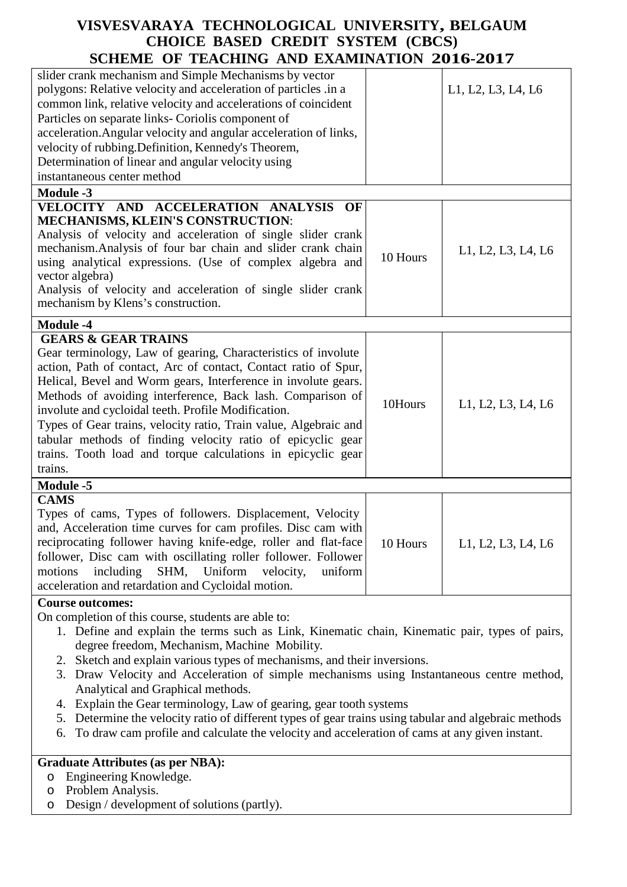| slider crank mechanism and Simple Mechanisms by vector<br>polygons: Relative velocity and acceleration of particles .in a<br>common link, relative velocity and accelerations of coincident                                                                                                                                                                                                                                                                                                                                                                             |          | L1, L2, L3, L4, L6 |  |  |
|-------------------------------------------------------------------------------------------------------------------------------------------------------------------------------------------------------------------------------------------------------------------------------------------------------------------------------------------------------------------------------------------------------------------------------------------------------------------------------------------------------------------------------------------------------------------------|----------|--------------------|--|--|
| Particles on separate links- Coriolis component of<br>acceleration. Angular velocity and angular acceleration of links,                                                                                                                                                                                                                                                                                                                                                                                                                                                 |          |                    |  |  |
| velocity of rubbing. Definition, Kennedy's Theorem,                                                                                                                                                                                                                                                                                                                                                                                                                                                                                                                     |          |                    |  |  |
| Determination of linear and angular velocity using                                                                                                                                                                                                                                                                                                                                                                                                                                                                                                                      |          |                    |  |  |
| instantaneous center method                                                                                                                                                                                                                                                                                                                                                                                                                                                                                                                                             |          |                    |  |  |
| <b>Module -3</b>                                                                                                                                                                                                                                                                                                                                                                                                                                                                                                                                                        |          |                    |  |  |
| VELOCITY AND ACCELERATION ANALYSIS<br>OF                                                                                                                                                                                                                                                                                                                                                                                                                                                                                                                                |          |                    |  |  |
| <b>MECHANISMS, KLEIN'S CONSTRUCTION:</b>                                                                                                                                                                                                                                                                                                                                                                                                                                                                                                                                |          |                    |  |  |
| Analysis of velocity and acceleration of single slider crank<br>mechanism. Analysis of four bar chain and slider crank chain<br>using analytical expressions. (Use of complex algebra and<br>vector algebra)<br>Analysis of velocity and acceleration of single slider crank<br>mechanism by Klens's construction.                                                                                                                                                                                                                                                      | 10 Hours | L1, L2, L3, L4, L6 |  |  |
| <b>Module -4</b>                                                                                                                                                                                                                                                                                                                                                                                                                                                                                                                                                        |          |                    |  |  |
| <b>GEARS &amp; GEAR TRAINS</b><br>Gear terminology, Law of gearing, Characteristics of involute<br>action, Path of contact, Arc of contact, Contact ratio of Spur,<br>Helical, Bevel and Worm gears, Interference in involute gears.<br>Methods of avoiding interference, Back lash. Comparison of<br>involute and cycloidal teeth. Profile Modification.<br>Types of Gear trains, velocity ratio, Train value, Algebraic and<br>tabular methods of finding velocity ratio of epicyclic gear<br>trains. Tooth load and torque calculations in epicyclic gear<br>trains. | 10Hours  | L1, L2, L3, L4, L6 |  |  |
| <b>Module -5</b>                                                                                                                                                                                                                                                                                                                                                                                                                                                                                                                                                        |          |                    |  |  |
| <b>CAMS</b><br>Types of cams, Types of followers. Displacement, Velocity<br>and, Acceleration time curves for cam profiles. Disc cam with<br>reciprocating follower having knife-edge, roller and flat-face<br>follower, Disc cam with oscillating roller follower. Follower<br>motions<br>including<br>SHM,<br>Uniform<br>velocity,<br>uniform<br>acceleration and retardation and Cycloidal motion.                                                                                                                                                                   | 10 Hours | L1, L2, L3, L4, L6 |  |  |
| <b>Course outcomes:</b><br>On completion of this course, students are able to:<br>1. Define and explain the terms such as Link, Kinematic chain, Kinematic pair, types of pairs,<br>degree freedom, Mechanism, Machine Mobility.<br>2. Sketch and explain various types of mechanisms, and their inversions.<br>Draw Velocity and Acceleration of simple mechanisms using Instantaneous centre method.<br>3.                                                                                                                                                            |          |                    |  |  |

- 3. Draw Velocity and Acceleration of simple mechanisms using Instantaneous centre method, Analytical and Graphical methods.
- 4. Explain the Gear terminology, Law of gearing, gear tooth systems
- 5. Determine the velocity ratio of different types of gear trains using tabular and algebraic methods
- 6. To draw cam profile and calculate the velocity and acceleration of cams at any given instant.

# **Graduate Attributes (as per NBA):**

- o Engineering Knowledge.
- o Problem Analysis.
- o Design / development of solutions (partly).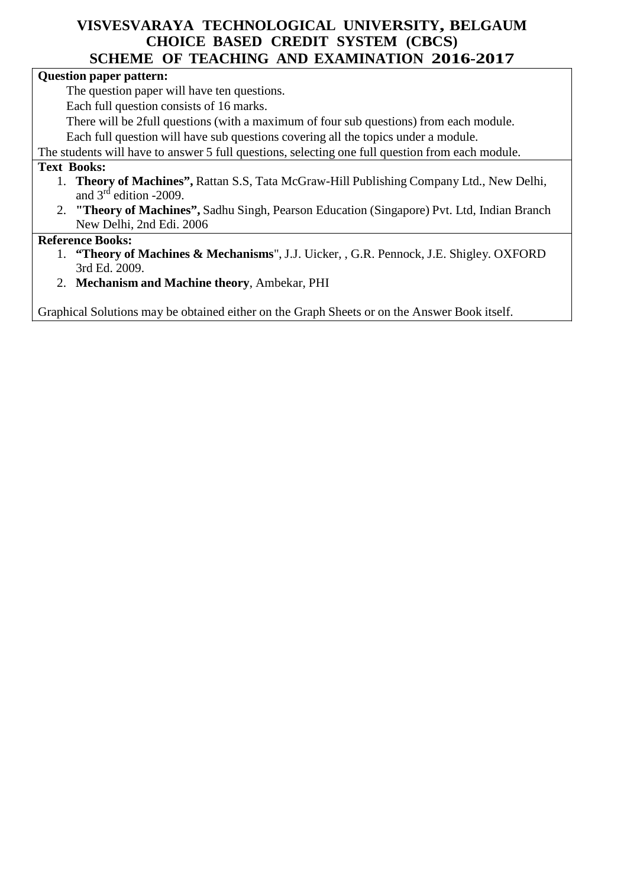#### **Question paper pattern:**

The question paper will have ten questions.

Each full question consists of 16 marks.

There will be 2full questions (with a maximum of four sub questions) from each module.

Each full question will have sub questions covering all the topics under a module.

The students will have to answer 5 full questions, selecting one full question from each module.

#### **Text Books:**

- 1. **Theory of Machines",** Rattan S.S, Tata McGraw-Hill Publishing Company Ltd., New Delhi, and  $3<sup>rd</sup>$  edition -2009.
- 2. **"Theory of Machines",** Sadhu Singh, Pearson Education (Singapore) Pvt. Ltd, Indian Branch New Delhi, 2nd Edi. 2006

#### **Reference Books:**

- 1. **"Theory of Machines & Mechanisms**", J.J. Uicker, , G.R. Pennock, J.E. Shigley. OXFORD 3rd Ed. 2009.
- 2. **Mechanism and Machine theory**, Ambekar, PHI

Graphical Solutions may be obtained either on the Graph Sheets or on the Answer Book itself.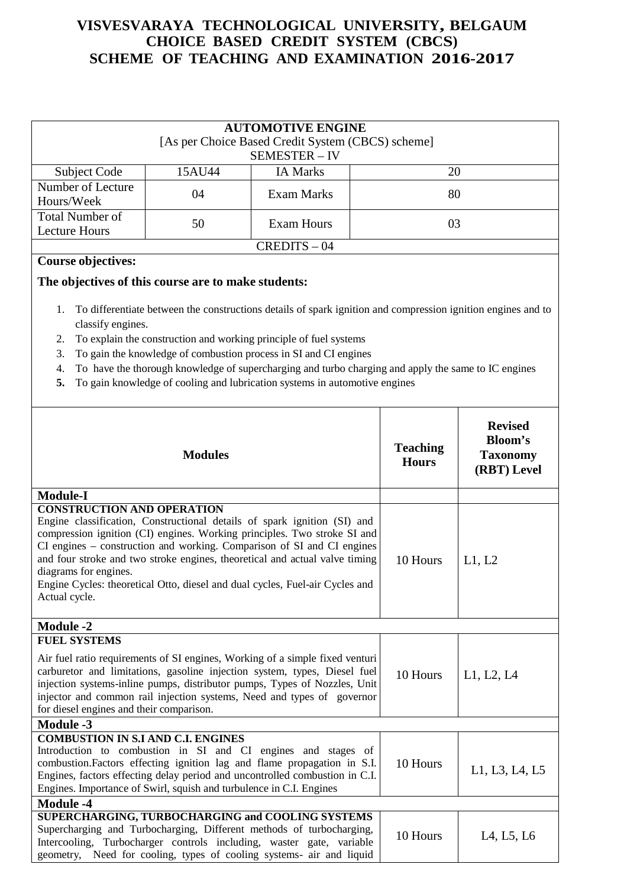| <b>AUTOMOTIVE ENGINE</b><br>[As per Choice Based Credit System (CBCS) scheme]<br>SEMESTER - IV |        |                 |    |  |  |
|------------------------------------------------------------------------------------------------|--------|-----------------|----|--|--|
| Subject Code                                                                                   | 15AU44 | <b>IA Marks</b> | 20 |  |  |
| Number of Lecture<br>Hours/Week                                                                | 04     | Exam Marks      | 80 |  |  |
| <b>Total Number of</b><br>Lecture Hours                                                        | 50     | Exam Hours      | 03 |  |  |
| $CREDITS - 04$                                                                                 |        |                 |    |  |  |

#### **Course objectives:**

#### **The objectives of this course are to make students:**

- 1. To differentiate between the constructions details of spark ignition and compression ignition engines and to classify engines.
- 2. To explain the construction and working principle of fuel systems
- 3. To gain the knowledge of combustion process in SI and CI engines
- 4. To have the thorough knowledge of supercharging and turbo charging and apply the same to IC engines
- **5.** To gain knowledge of cooling and lubrication systems in automotive engines

| <b>Modules</b>                                                                                                                                                                                                                                                                                                                                                                                                                                                               | <b>Teaching</b><br><b>Hours</b> | <b>Revised</b><br><b>Bloom's</b><br><b>Taxonomy</b><br>(RBT) Level |
|------------------------------------------------------------------------------------------------------------------------------------------------------------------------------------------------------------------------------------------------------------------------------------------------------------------------------------------------------------------------------------------------------------------------------------------------------------------------------|---------------------------------|--------------------------------------------------------------------|
| <b>Module-I</b>                                                                                                                                                                                                                                                                                                                                                                                                                                                              |                                 |                                                                    |
| <b>CONSTRUCTION AND OPERATION</b><br>Engine classification, Constructional details of spark ignition (SI) and<br>compression ignition (CI) engines. Working principles. Two stroke SI and<br>CI engines – construction and working. Comparison of SI and CI engines<br>and four stroke and two stroke engines, theoretical and actual valve timing<br>diagrams for engines.<br>Engine Cycles: theoretical Otto, diesel and dual cycles, Fuel-air Cycles and<br>Actual cycle. | 10 Hours                        | L1, L2                                                             |
| <b>Module -2</b>                                                                                                                                                                                                                                                                                                                                                                                                                                                             |                                 |                                                                    |
| <b>FUEL SYSTEMS</b><br>Air fuel ratio requirements of SI engines, Working of a simple fixed venturi<br>carburetor and limitations, gasoline injection system, types, Diesel fuel<br>injection systems-inline pumps, distributor pumps, Types of Nozzles, Unit<br>injector and common rail injection systems, Need and types of governor<br>for diesel engines and their comparison.                                                                                          | 10 Hours                        | L1, L2, L4                                                         |
| <b>Module -3</b>                                                                                                                                                                                                                                                                                                                                                                                                                                                             |                                 |                                                                    |
| <b>COMBUSTION IN S.I AND C.I. ENGINES</b><br>Introduction to combustion in SI and CI engines and stages of<br>combustion. Factors effecting ignition lag and flame propagation in S.I.<br>Engines, factors effecting delay period and uncontrolled combustion in C.I.<br>Engines. Importance of Swirl, squish and turbulence in C.I. Engines                                                                                                                                 | 10 Hours                        | L1, L3, L4, L5                                                     |
| <b>Module -4</b>                                                                                                                                                                                                                                                                                                                                                                                                                                                             |                                 |                                                                    |
| <b>SUPERCHARGING, TURBOCHARGING and COOLING SYSTEMS</b><br>Supercharging and Turbocharging, Different methods of turbocharging,<br>Intercooling, Turbocharger controls including, waster gate, variable<br>Need for cooling, types of cooling systems- air and liquid<br>geometry,                                                                                                                                                                                           | 10 Hours                        | L4, L5, L6                                                         |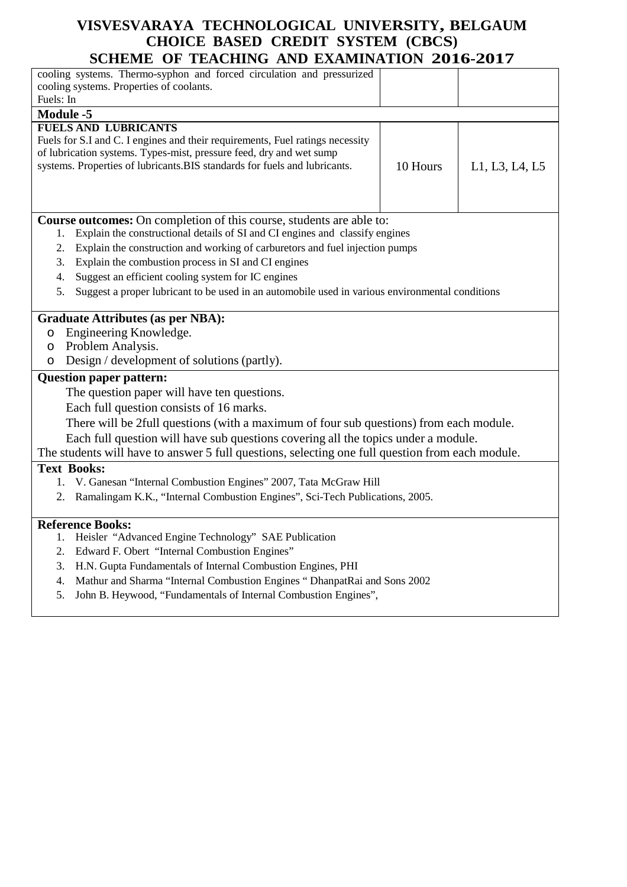| SCHEME OF TEACHING AND EXAMINATION                                                                    |          |                |
|-------------------------------------------------------------------------------------------------------|----------|----------------|
| cooling systems. Thermo-syphon and forced circulation and pressurized                                 |          |                |
| cooling systems. Properties of coolants.                                                              |          |                |
| Fuels: In                                                                                             |          |                |
| <b>Module -5</b>                                                                                      |          |                |
| <b>FUELS AND LUBRICANTS</b>                                                                           |          |                |
| Fuels for S.I and C. I engines and their requirements, Fuel ratings necessity                         |          |                |
| of lubrication systems. Types-mist, pressure feed, dry and wet sump                                   |          |                |
| systems. Properties of lubricants.BIS standards for fuels and lubricants.                             | 10 Hours | L1, L3, L4, L5 |
|                                                                                                       |          |                |
|                                                                                                       |          |                |
|                                                                                                       |          |                |
| Course outcomes: On completion of this course, students are able to:                                  |          |                |
| Explain the constructional details of SI and CI engines and classify engines<br>1.                    |          |                |
| Explain the construction and working of carburetors and fuel injection pumps<br>2.                    |          |                |
| Explain the combustion process in SI and CI engines<br>3.                                             |          |                |
| Suggest an efficient cooling system for IC engines<br>4.                                              |          |                |
| Suggest a proper lubricant to be used in an automobile used in various environmental conditions<br>5. |          |                |
|                                                                                                       |          |                |
| <b>Graduate Attributes (as per NBA):</b>                                                              |          |                |
| Engineering Knowledge.<br>$\circ$                                                                     |          |                |
| Problem Analysis.<br>$\circ$                                                                          |          |                |
| Design / development of solutions (partly).<br>O                                                      |          |                |
| <b>Question paper pattern:</b>                                                                        |          |                |
| The question paper will have ten questions.                                                           |          |                |
|                                                                                                       |          |                |
| Each full question consists of 16 marks.                                                              |          |                |
| There will be 2full questions (with a maximum of four sub questions) from each module.                |          |                |
| Each full question will have sub questions covering all the topics under a module.                    |          |                |
| The students will have to answer 5 full questions, selecting one full question from each module.      |          |                |
| <b>Text Books:</b>                                                                                    |          |                |
| V. Ganesan "Internal Combustion Engines" 2007, Tata McGraw Hill<br>1.                                 |          |                |
| Ramalingam K.K., "Internal Combustion Engines", Sci-Tech Publications, 2005.<br>2.                    |          |                |
|                                                                                                       |          |                |
| <b>Reference Books:</b>                                                                               |          |                |
| 1. Heisler "Advanced Engine Technology" SAE Publication                                               |          |                |
| Edward F. Obert "Internal Combustion Engines"<br>2.                                                   |          |                |
| H.N. Gupta Fundamentals of Internal Combustion Engines, PHI<br>3.                                     |          |                |
| Mathur and Sharma "Internal Combustion Engines " DhanpatRai and Sons 2002<br>4.                       |          |                |
| John B. Heywood, "Fundamentals of Internal Combustion Engines",<br>5.                                 |          |                |
|                                                                                                       |          |                |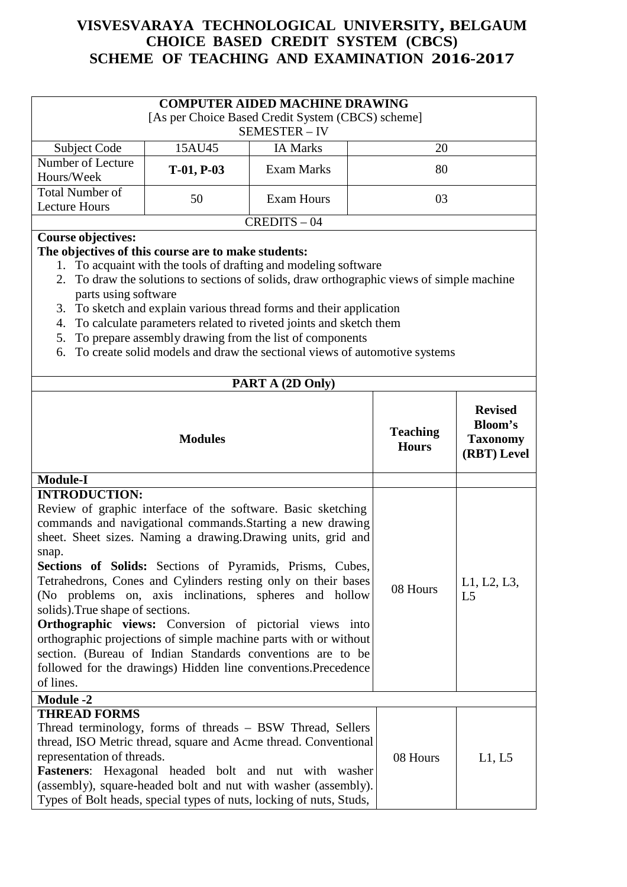| <b>COMPUTER AIDED MACHINE DRAWING</b><br>[As per Choice Based Credit System (CBCS) scheme]<br>SEMESTER - IV |              |                   |    |  |  |
|-------------------------------------------------------------------------------------------------------------|--------------|-------------------|----|--|--|
| Subject Code<br><b>IA Marks</b><br>15AU45<br>20                                                             |              |                   |    |  |  |
| Number of Lecture<br>Hours/Week                                                                             | $T-01, P-03$ | <b>Exam Marks</b> | 80 |  |  |
| <b>Total Number of</b><br>Exam Hours<br>50<br>03<br>Lecture Hours                                           |              |                   |    |  |  |
| $CREDITS - 04$                                                                                              |              |                   |    |  |  |

### **Course objectives:**

#### **The objectives of this course are to make students:**

- 1. To acquaint with the tools of drafting and modeling software
- 2. To draw the solutions to sections of solids, draw orthographic views of simple machine parts using software
- 3. To sketch and explain various thread forms and their application
- 4. To calculate parameters related to riveted joints and sketch them
- 5. To prepare assembly drawing from the list of components
- 6. To create solid models and draw the sectional views of automotive systems

| PART A (2D Only)                                                                                                                                                                                                                                                                                                                                                                                                                                                                                                                                                                                                                                                                                                                         |                                 |                                                                    |
|------------------------------------------------------------------------------------------------------------------------------------------------------------------------------------------------------------------------------------------------------------------------------------------------------------------------------------------------------------------------------------------------------------------------------------------------------------------------------------------------------------------------------------------------------------------------------------------------------------------------------------------------------------------------------------------------------------------------------------------|---------------------------------|--------------------------------------------------------------------|
| <b>Modules</b>                                                                                                                                                                                                                                                                                                                                                                                                                                                                                                                                                                                                                                                                                                                           | <b>Teaching</b><br><b>Hours</b> | <b>Revised</b><br><b>Bloom's</b><br><b>Taxonomy</b><br>(RBT) Level |
| <b>Module-I</b>                                                                                                                                                                                                                                                                                                                                                                                                                                                                                                                                                                                                                                                                                                                          |                                 |                                                                    |
| <b>INTRODUCTION:</b><br>Review of graphic interface of the software. Basic sketching<br>commands and navigational commands. Starting a new drawing<br>sheet. Sheet sizes. Naming a drawing. Drawing units, grid and<br>snap.<br>Sections of Solids: Sections of Pyramids, Prisms, Cubes,<br>Tetrahedrons, Cones and Cylinders resting only on their bases<br>(No problems on, axis inclinations, spheres and hollow<br>solids). True shape of sections.<br><b>Orthographic views:</b> Conversion of pictorial views into<br>orthographic projections of simple machine parts with or without<br>section. (Bureau of Indian Standards conventions are to be<br>followed for the drawings) Hidden line conventions.Precedence<br>of lines. | 08 Hours                        | L1, L2, L3,<br>L <sub>5</sub>                                      |
| <b>Module -2</b>                                                                                                                                                                                                                                                                                                                                                                                                                                                                                                                                                                                                                                                                                                                         |                                 |                                                                    |
| <b>THREAD FORMS</b><br>Thread terminology, forms of threads - BSW Thread, Sellers<br>thread, ISO Metric thread, square and Acme thread. Conventional<br>representation of threads.<br>Fasteners: Hexagonal headed bolt and nut with washer<br>(assembly), square-headed bolt and nut with washer (assembly).<br>Types of Bolt heads, special types of nuts, locking of nuts, Studs,                                                                                                                                                                                                                                                                                                                                                      | 08 Hours                        | L1, L5                                                             |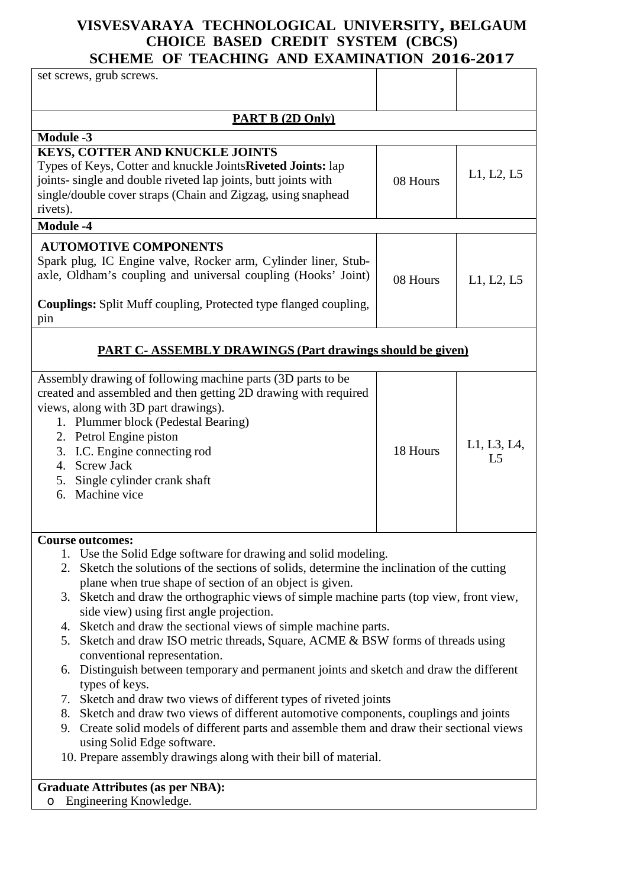| SCHEME OF TEACHING AND EXAMINATION 2010-2017                                                                                                                                                                                                                                                                                                                                                                                                                                                                                                                                                                                                                                                                                                                                                                                                                                                                                                                                                                                                                                                                 |          |                               |
|--------------------------------------------------------------------------------------------------------------------------------------------------------------------------------------------------------------------------------------------------------------------------------------------------------------------------------------------------------------------------------------------------------------------------------------------------------------------------------------------------------------------------------------------------------------------------------------------------------------------------------------------------------------------------------------------------------------------------------------------------------------------------------------------------------------------------------------------------------------------------------------------------------------------------------------------------------------------------------------------------------------------------------------------------------------------------------------------------------------|----------|-------------------------------|
| set screws, grub screws.                                                                                                                                                                                                                                                                                                                                                                                                                                                                                                                                                                                                                                                                                                                                                                                                                                                                                                                                                                                                                                                                                     |          |                               |
|                                                                                                                                                                                                                                                                                                                                                                                                                                                                                                                                                                                                                                                                                                                                                                                                                                                                                                                                                                                                                                                                                                              |          |                               |
| <b>PART B (2D Only)</b>                                                                                                                                                                                                                                                                                                                                                                                                                                                                                                                                                                                                                                                                                                                                                                                                                                                                                                                                                                                                                                                                                      |          |                               |
| <b>Module -3</b>                                                                                                                                                                                                                                                                                                                                                                                                                                                                                                                                                                                                                                                                                                                                                                                                                                                                                                                                                                                                                                                                                             |          |                               |
| <b>KEYS, COTTER AND KNUCKLE JOINTS</b><br>Types of Keys, Cotter and knuckle Joints Riveted Joints: lap<br>joints- single and double riveted lap joints, butt joints with<br>single/double cover straps (Chain and Zigzag, using snaphead<br>rivets).                                                                                                                                                                                                                                                                                                                                                                                                                                                                                                                                                                                                                                                                                                                                                                                                                                                         | 08 Hours | L1, L2, L5                    |
| <b>Module -4</b>                                                                                                                                                                                                                                                                                                                                                                                                                                                                                                                                                                                                                                                                                                                                                                                                                                                                                                                                                                                                                                                                                             |          |                               |
| <b>AUTOMOTIVE COMPONENTS</b><br>Spark plug, IC Engine valve, Rocker arm, Cylinder liner, Stub-<br>axle, Oldham's coupling and universal coupling (Hooks' Joint)<br><b>Couplings:</b> Split Muff coupling, Protected type flanged coupling,<br>pin                                                                                                                                                                                                                                                                                                                                                                                                                                                                                                                                                                                                                                                                                                                                                                                                                                                            | 08 Hours | L1, L2, L5                    |
| <b>PART C-ASSEMBLY DRAWINGS (Part drawings should be given)</b>                                                                                                                                                                                                                                                                                                                                                                                                                                                                                                                                                                                                                                                                                                                                                                                                                                                                                                                                                                                                                                              |          |                               |
| Assembly drawing of following machine parts (3D parts to be<br>created and assembled and then getting 2D drawing with required<br>views, along with 3D part drawings).<br>1. Plummer block (Pedestal Bearing)<br>2. Petrol Engine piston<br>3. I.C. Engine connecting rod<br>4. Screw Jack<br>5. Single cylinder crank shaft<br>6. Machine vice                                                                                                                                                                                                                                                                                                                                                                                                                                                                                                                                                                                                                                                                                                                                                              | 18 Hours | L1, L3, L4,<br>L <sub>5</sub> |
| <b>Course outcomes:</b><br>1. Use the Solid Edge software for drawing and solid modeling.<br>2. Sketch the solutions of the sections of solids, determine the inclination of the cutting<br>plane when true shape of section of an object is given.<br>3. Sketch and draw the orthographic views of simple machine parts (top view, front view,<br>side view) using first angle projection.<br>4. Sketch and draw the sectional views of simple machine parts.<br>5. Sketch and draw ISO metric threads, Square, ACME & BSW forms of threads using<br>conventional representation.<br>6. Distinguish between temporary and permanent joints and sketch and draw the different<br>types of keys.<br>7. Sketch and draw two views of different types of riveted joints<br>8. Sketch and draw two views of different automotive components, couplings and joints<br>9. Create solid models of different parts and assemble them and draw their sectional views<br>using Solid Edge software.<br>10. Prepare assembly drawings along with their bill of material.<br>$C$ reducts $A$ thributes (as now ND $A$ ). |          |                               |

**Graduate Attributes (as per NBA):** o Engineering Knowledge.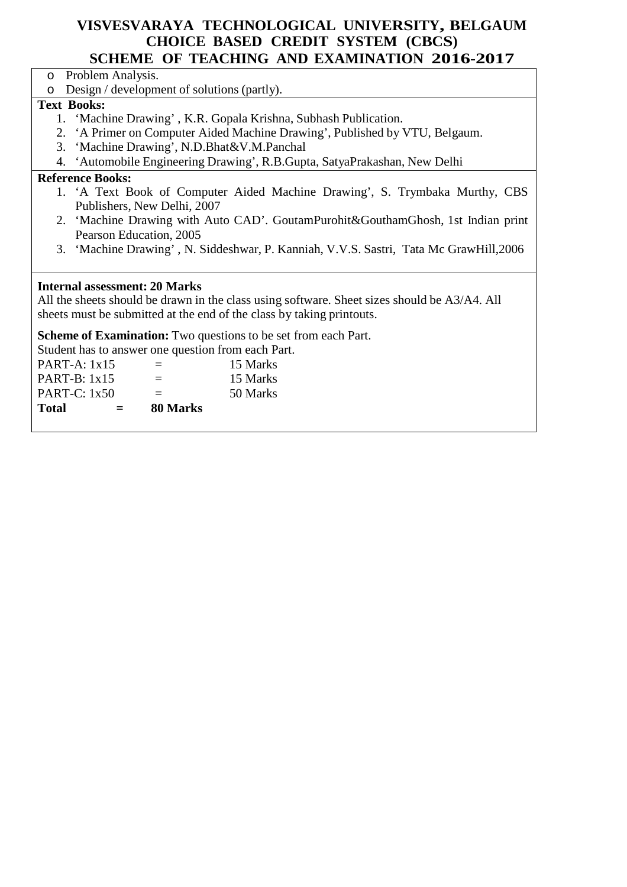- o Problem Analysis.
- o Design / development of solutions (partly).

### **Text Books:**

- 1. 'Machine Drawing' , K.R. Gopala Krishna, Subhash Publication.
- 2. 'A Primer on Computer Aided Machine Drawing', Published by VTU, Belgaum.
- 3. 'Machine Drawing', N.D.Bhat&V.M.Panchal
- 4. 'Automobile Engineering Drawing', R.B.Gupta, SatyaPrakashan, New Delhi

#### **Reference Books:**

- 1. 'A Text Book of Computer Aided Machine Drawing', S. Trymbaka Murthy, CBS Publishers, New Delhi, 2007
- 2. 'Machine Drawing with Auto CAD'. GoutamPurohit&GouthamGhosh, 1st Indian print Pearson Education, 2005
- 3. 'Machine Drawing' , N. Siddeshwar, P. Kanniah, V.V.S. Sastri, Tata Mc GrawHill,2006

### **Internal assessment: 20 Marks**

All the sheets should be drawn in the class using software. Sheet sizes should be A3/A4. All sheets must be submitted at the end of the class by taking printouts.

**Scheme of Examination:** Two questions to be set from each Part.

Student has to answer one question from each Part.

| <b>Total</b>   | $=$ | 80 Marks |          |
|----------------|-----|----------|----------|
| PART-C: $1x50$ |     | $=$      | 50 Marks |
| PART-B: $1x15$ |     | $\equiv$ | 15 Marks |
| $PART-A: 1x15$ |     | $\equiv$ | 15 Marks |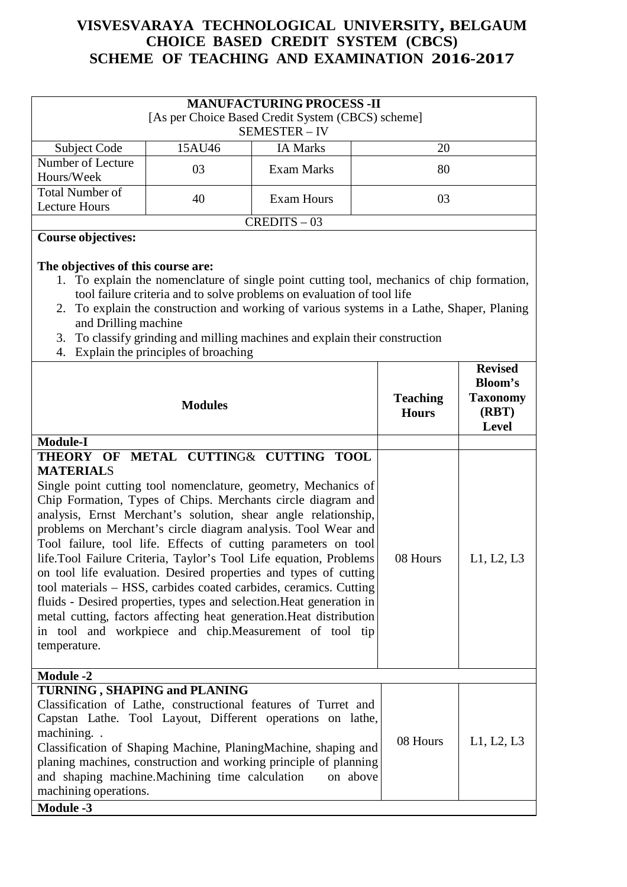| <b>MANUFACTURING PROCESS -II</b><br>[As per Choice Based Credit System (CBCS) scheme]<br>SEMESTER - IV |    |            |    |  |  |  |
|--------------------------------------------------------------------------------------------------------|----|------------|----|--|--|--|
| Subject Code<br><b>IA Marks</b><br>20<br>15AU46                                                        |    |            |    |  |  |  |
| Number of Lecture<br>Hours/Week                                                                        | 03 | Exam Marks | 80 |  |  |  |
| <b>Total Number of</b><br>Exam Hours<br>40<br>03<br>Lecture Hours                                      |    |            |    |  |  |  |
| $CREDITS - 03$                                                                                         |    |            |    |  |  |  |

### **Course objectives:**

#### **The objectives of this course are:**

- 1. To explain the nomenclature of single point cutting tool, mechanics of chip formation, tool failure criteria and to solve problems on evaluation of tool life
- 2. To explain the construction and working of various systems in a Lathe, Shaper, Planing and Drilling machine
- 3. To classify grinding and milling machines and explain their construction
- 4. Explain the principles of broaching

| <b>Modules</b>                                                                                                                                                                                                                                                                                                                                                                                                                                                                                                                                                                                                                                                                                                                                                                                                                              | <b>Teaching</b><br><b>Hours</b> | <b>Revised</b><br><b>Bloom's</b><br><b>Taxonomy</b><br>(RBT)<br><b>Level</b> |
|---------------------------------------------------------------------------------------------------------------------------------------------------------------------------------------------------------------------------------------------------------------------------------------------------------------------------------------------------------------------------------------------------------------------------------------------------------------------------------------------------------------------------------------------------------------------------------------------------------------------------------------------------------------------------------------------------------------------------------------------------------------------------------------------------------------------------------------------|---------------------------------|------------------------------------------------------------------------------|
| <b>Module-I</b>                                                                                                                                                                                                                                                                                                                                                                                                                                                                                                                                                                                                                                                                                                                                                                                                                             |                                 |                                                                              |
| METAL CUTTING& CUTTING TOOL<br>THEORY OF<br><b>MATERIALS</b><br>Single point cutting tool nomenclature, geometry, Mechanics of<br>Chip Formation, Types of Chips. Merchants circle diagram and<br>analysis, Ernst Merchant's solution, shear angle relationship,<br>problems on Merchant's circle diagram analysis. Tool Wear and<br>Tool failure, tool life. Effects of cutting parameters on tool<br>life.Tool Failure Criteria, Taylor's Tool Life equation, Problems<br>on tool life evaluation. Desired properties and types of cutting<br>tool materials - HSS, carbides coated carbides, ceramics. Cutting<br>fluids - Desired properties, types and selection. Heat generation in<br>metal cutting, factors affecting heat generation. Heat distribution<br>in tool and workpiece and chip. Measurement of tool tip<br>temperature. | 08 Hours                        | L1, L2, L3                                                                   |
| <b>Module -2</b>                                                                                                                                                                                                                                                                                                                                                                                                                                                                                                                                                                                                                                                                                                                                                                                                                            |                                 |                                                                              |
| <b>TURNING, SHAPING and PLANING</b><br>Classification of Lathe, constructional features of Turret and<br>Capstan Lathe. Tool Layout, Different operations on lathe,<br>machining. .<br>Classification of Shaping Machine, PlaningMachine, shaping and<br>planing machines, construction and working principle of planning<br>and shaping machine. Machining time calculation<br>on above<br>machining operations.                                                                                                                                                                                                                                                                                                                                                                                                                           | 08 Hours                        | L1, L2, L3                                                                   |
| <b>Module -3</b>                                                                                                                                                                                                                                                                                                                                                                                                                                                                                                                                                                                                                                                                                                                                                                                                                            |                                 |                                                                              |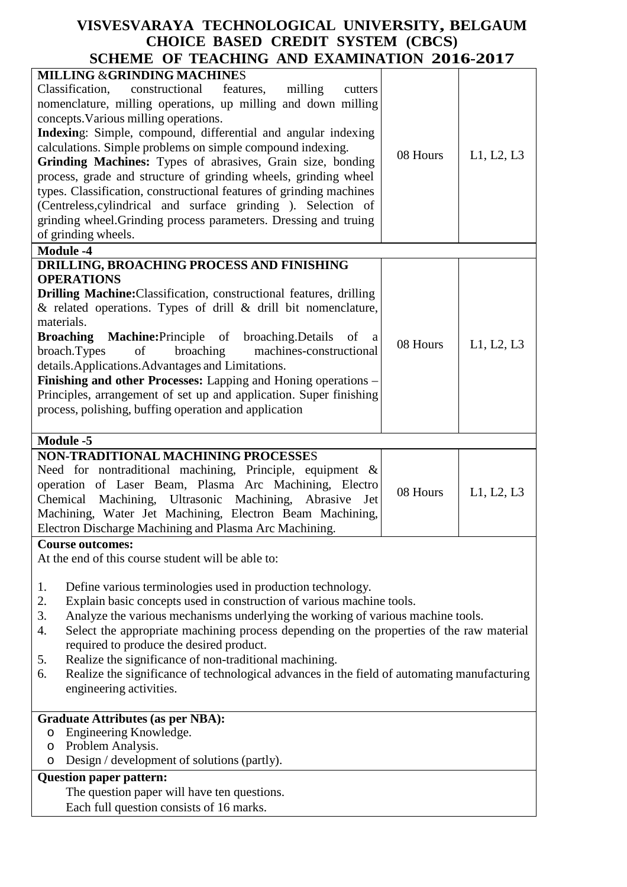| SCHEME OF TEACHING AND EAAMHATION ZUIU-ZUIT                                                                                                                                                                                                                                                                                                                                                                                                                                                                                                                                                                                                                                                                               |          |            |
|---------------------------------------------------------------------------------------------------------------------------------------------------------------------------------------------------------------------------------------------------------------------------------------------------------------------------------------------------------------------------------------------------------------------------------------------------------------------------------------------------------------------------------------------------------------------------------------------------------------------------------------------------------------------------------------------------------------------------|----------|------------|
| <b>MILLING &amp;GRINDING MACHINES</b><br>Classification,<br>constructional<br>features,<br>milling<br>cutters<br>nomenclature, milling operations, up milling and down milling<br>concepts. Various milling operations.<br>Indexing: Simple, compound, differential and angular indexing<br>calculations. Simple problems on simple compound indexing.<br>Grinding Machines: Types of abrasives, Grain size, bonding<br>process, grade and structure of grinding wheels, grinding wheel<br>types. Classification, constructional features of grinding machines<br>(Centreless, cylindrical and surface grinding). Selection of<br>grinding wheel. Grinding process parameters. Dressing and truing<br>of grinding wheels. | 08 Hours | L1, L2, L3 |
| <b>Module -4</b>                                                                                                                                                                                                                                                                                                                                                                                                                                                                                                                                                                                                                                                                                                          |          |            |
| DRILLING, BROACHING PROCESS AND FINISHING<br><b>OPERATIONS</b><br><b>Drilling Machine:</b> Classification, constructional features, drilling<br>$\&$ related operations. Types of drill $\&$ drill bit nomenclature,<br>materials.<br><b>Broaching</b><br><b>Machine:</b> Principle of broaching.Details of a<br>broaching<br>broach. Types<br>of<br>machines-constructional<br>details. Applications. Advantages and Limitations.<br>Finishing and other Processes: Lapping and Honing operations -<br>Principles, arrangement of set up and application. Super finishing<br>process, polishing, buffing operation and application                                                                                       | 08 Hours | L1, L2, L3 |
| <b>Module -5</b>                                                                                                                                                                                                                                                                                                                                                                                                                                                                                                                                                                                                                                                                                                          |          |            |
| NON-TRADITIONAL MACHINING PROCESSES<br>Need for nontraditional machining, Principle, equipment &<br>operation of Laser Beam, Plasma Arc Machining, Electro<br>Chemical Machining, Ultrasonic Machining, Abrasive Jet<br>Machining, Water Jet Machining, Electron Beam Machining,<br>Electron Discharge Machining and Plasma Arc Machining.                                                                                                                                                                                                                                                                                                                                                                                | 08 Hours | L1, L2, L3 |
| <b>Course outcomes:</b>                                                                                                                                                                                                                                                                                                                                                                                                                                                                                                                                                                                                                                                                                                   |          |            |
| At the end of this course student will be able to:<br>Define various terminologies used in production technology.<br>1.<br>Explain basic concepts used in construction of various machine tools.<br>2.<br>3.<br>Analyze the various mechanisms underlying the working of various machine tools.<br>Select the appropriate machining process depending on the properties of the raw material<br>4.<br>required to produce the desired product.<br>Realize the significance of non-traditional machining.<br>5.<br>Realize the significance of technological advances in the field of automating manufacturing<br>6.<br>engineering activities.                                                                             |          |            |
| <b>Graduate Attributes (as per NBA):</b>                                                                                                                                                                                                                                                                                                                                                                                                                                                                                                                                                                                                                                                                                  |          |            |
| Engineering Knowledge.<br>O<br>Problem Analysis.<br>$\circ$<br>Design / development of solutions (partly).<br>O                                                                                                                                                                                                                                                                                                                                                                                                                                                                                                                                                                                                           |          |            |
| <b>Question paper pattern:</b>                                                                                                                                                                                                                                                                                                                                                                                                                                                                                                                                                                                                                                                                                            |          |            |
| The question paper will have ten questions.<br>Each full question consists of 16 marks.                                                                                                                                                                                                                                                                                                                                                                                                                                                                                                                                                                                                                                   |          |            |
|                                                                                                                                                                                                                                                                                                                                                                                                                                                                                                                                                                                                                                                                                                                           |          |            |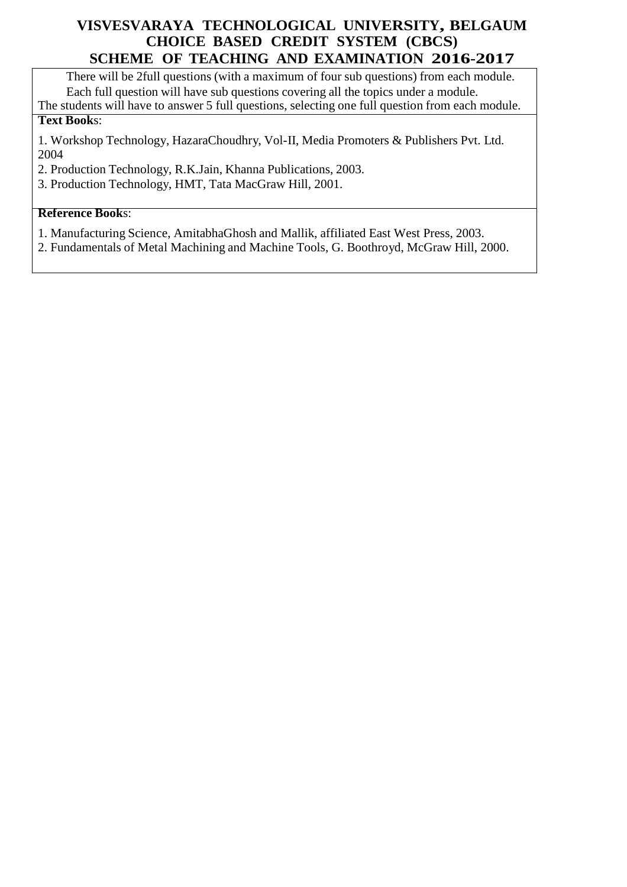There will be 2full questions (with a maximum of four sub questions) from each module. Each full question will have sub questions covering all the topics under a module. The students will have to answer 5 full questions, selecting one full question from each module.

#### **Text Book**s:

1. Workshop Technology, HazaraChoudhry, Vol-II, Media Promoters & Publishers Pvt. Ltd. 2004

2. Production Technology, R.K.Jain, Khanna Publications, 2003.

3. Production Technology, HMT, Tata MacGraw Hill, 2001.

#### **Reference Book**s:

1. Manufacturing Science, AmitabhaGhosh and Mallik, affiliated East West Press, 2003.

2. Fundamentals of Metal Machining and Machine Tools, G. Boothroyd, McGraw Hill, 2000.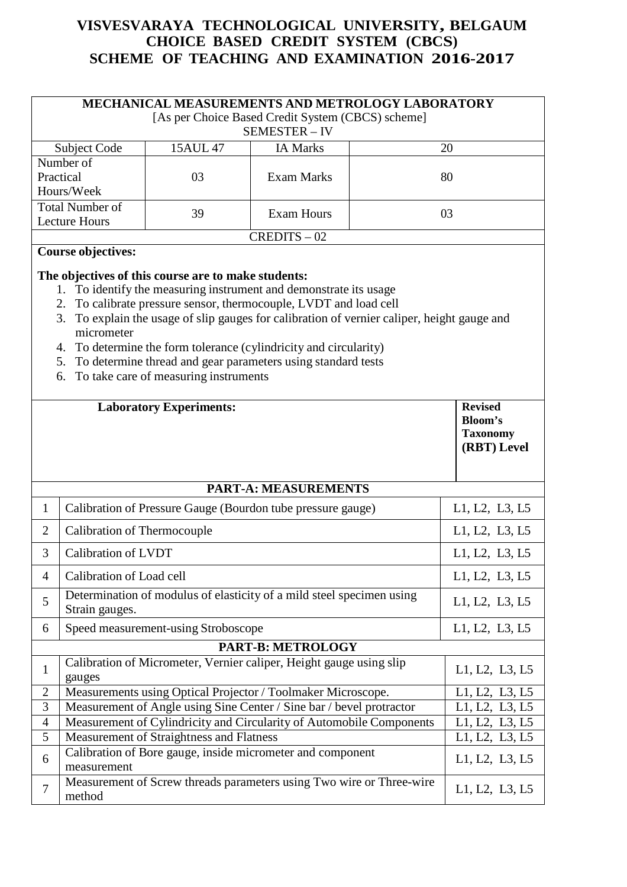|                | <b>MECHANICAL MEASUREMENTS AND METROLOGY LABORATORY</b>                                                  |                                                                                              |                                                                                                                                                                                                                                                                                                                                                                         |                              |  |  |
|----------------|----------------------------------------------------------------------------------------------------------|----------------------------------------------------------------------------------------------|-------------------------------------------------------------------------------------------------------------------------------------------------------------------------------------------------------------------------------------------------------------------------------------------------------------------------------------------------------------------------|------------------------------|--|--|
|                | [As per Choice Based Credit System (CBCS) scheme]                                                        |                                                                                              |                                                                                                                                                                                                                                                                                                                                                                         |                              |  |  |
|                |                                                                                                          | 15AUL 47                                                                                     | SEMESTER - IV<br><b>IA Marks</b>                                                                                                                                                                                                                                                                                                                                        | 20                           |  |  |
|                | Subject Code<br>Number of                                                                                |                                                                                              |                                                                                                                                                                                                                                                                                                                                                                         |                              |  |  |
|                | Practical                                                                                                | 03                                                                                           | <b>Exam Marks</b>                                                                                                                                                                                                                                                                                                                                                       | 80                           |  |  |
|                | Hours/Week                                                                                               |                                                                                              |                                                                                                                                                                                                                                                                                                                                                                         |                              |  |  |
|                | <b>Total Number of</b>                                                                                   | 39                                                                                           | <b>Exam Hours</b>                                                                                                                                                                                                                                                                                                                                                       | 03                           |  |  |
|                | <b>Lecture Hours</b>                                                                                     |                                                                                              |                                                                                                                                                                                                                                                                                                                                                                         |                              |  |  |
|                | <b>Course objectives:</b>                                                                                |                                                                                              | $CREDITS - 02$                                                                                                                                                                                                                                                                                                                                                          |                              |  |  |
|                | 3.<br>micrometer<br>4.<br>6.                                                                             | The objectives of this course are to make students:<br>To take care of measuring instruments | 1. To identify the measuring instrument and demonstrate its usage<br>2. To calibrate pressure sensor, thermocouple, LVDT and load cell<br>To explain the usage of slip gauges for calibration of vernier caliper, height gauge and<br>To determine the form tolerance (cylindricity and circularity)<br>5. To determine thread and gear parameters using standard tests |                              |  |  |
|                | <b>Revised</b><br><b>Laboratory Experiments:</b><br><b>Bloom's</b><br><b>Taxonomy</b><br>(RBT) Level     |                                                                                              |                                                                                                                                                                                                                                                                                                                                                                         |                              |  |  |
|                |                                                                                                          |                                                                                              |                                                                                                                                                                                                                                                                                                                                                                         |                              |  |  |
|                |                                                                                                          |                                                                                              | <b>PART-A: MEASUREMENTS</b>                                                                                                                                                                                                                                                                                                                                             |                              |  |  |
| $\mathbf{1}$   |                                                                                                          |                                                                                              | Calibration of Pressure Gauge (Bourdon tube pressure gauge)                                                                                                                                                                                                                                                                                                             | L1, L2, L3, L5               |  |  |
| $\overline{2}$ | Calibration of Thermocouple                                                                              |                                                                                              |                                                                                                                                                                                                                                                                                                                                                                         | L1, L2, L3, L5               |  |  |
| 3              | <b>Calibration of LVDT</b>                                                                               |                                                                                              |                                                                                                                                                                                                                                                                                                                                                                         | L1, L2, L3, L5               |  |  |
| $\overline{4}$ | Calibration of Load cell                                                                                 |                                                                                              |                                                                                                                                                                                                                                                                                                                                                                         | L1, L2, L3, L5               |  |  |
| 5              | Strain gauges.                                                                                           |                                                                                              | Determination of modulus of elasticity of a mild steel specimen using                                                                                                                                                                                                                                                                                                   | L1, L2, L3, L5               |  |  |
| 6              |                                                                                                          | Speed measurement-using Stroboscope                                                          |                                                                                                                                                                                                                                                                                                                                                                         | L1, L2, L3, L5               |  |  |
|                |                                                                                                          |                                                                                              | PART-B: METROLOGY                                                                                                                                                                                                                                                                                                                                                       |                              |  |  |
| $\mathbf{1}$   | gauges                                                                                                   |                                                                                              | Calibration of Micrometer, Vernier caliper, Height gauge using slip                                                                                                                                                                                                                                                                                                     | L1, L2, L3, L5               |  |  |
| $\overline{2}$ |                                                                                                          |                                                                                              | Measurements using Optical Projector / Toolmaker Microscope.                                                                                                                                                                                                                                                                                                            | L1, L2, L3, L5               |  |  |
|                | $\overline{3}$<br>Measurement of Angle using Sine Center / Sine bar / bevel protractor<br>L1, L2, L3, L5 |                                                                                              |                                                                                                                                                                                                                                                                                                                                                                         |                              |  |  |
| $\overline{4}$ |                                                                                                          |                                                                                              | Measurement of Cylindricity and Circularity of Automobile Components                                                                                                                                                                                                                                                                                                    | L1, L2, L3, L5               |  |  |
| 5              |                                                                                                          | Measurement of Straightness and Flatness                                                     |                                                                                                                                                                                                                                                                                                                                                                         | $\overline{L1}$ , L2, L3, L5 |  |  |
| 6              | measurement                                                                                              |                                                                                              | Calibration of Bore gauge, inside micrometer and component                                                                                                                                                                                                                                                                                                              | L1, L2, L3, L5               |  |  |
| $\overline{7}$ | method                                                                                                   |                                                                                              | Measurement of Screw threads parameters using Two wire or Three-wire                                                                                                                                                                                                                                                                                                    | L1, L2, L3, L5               |  |  |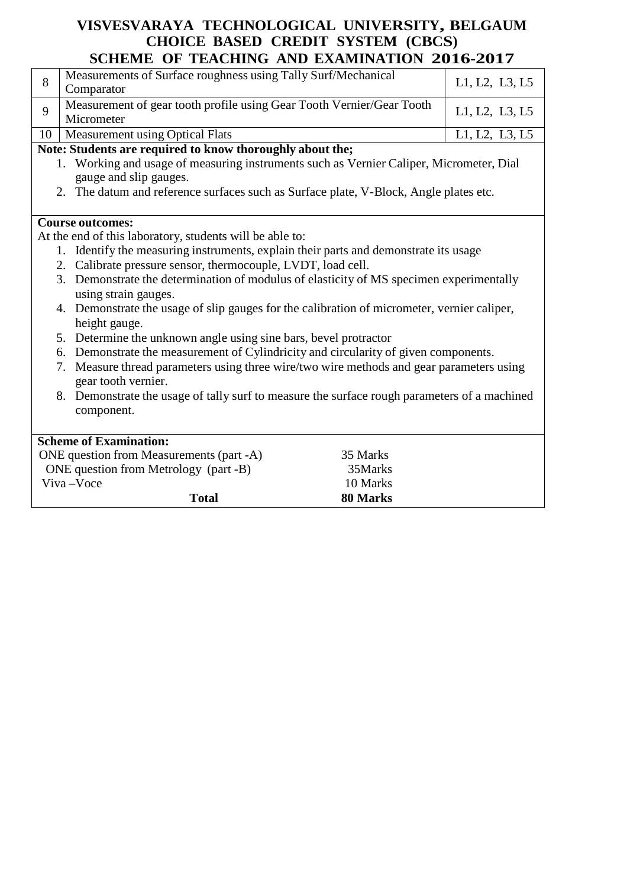|    | SCHERE OF TERCHING AND EXIMINATION 2010-2017                                                 |          |                |  |  |  |
|----|----------------------------------------------------------------------------------------------|----------|----------------|--|--|--|
| 8  | Measurements of Surface roughness using Tally Surf/Mechanical<br>Comparator                  |          | L1, L2, L3, L5 |  |  |  |
|    |                                                                                              |          |                |  |  |  |
| 9  | Measurement of gear tooth profile using Gear Tooth Vernier/Gear Tooth<br>Micrometer          |          | L1, L2, L3, L5 |  |  |  |
| 10 | Measurement using Optical Flats                                                              |          | L1, L2, L3, L5 |  |  |  |
|    | Note: Students are required to know thoroughly about the;                                    |          |                |  |  |  |
|    | 1. Working and usage of measuring instruments such as Vernier Caliper, Micrometer, Dial      |          |                |  |  |  |
|    | gauge and slip gauges.                                                                       |          |                |  |  |  |
|    | 2. The datum and reference surfaces such as Surface plate, V-Block, Angle plates etc.        |          |                |  |  |  |
|    |                                                                                              |          |                |  |  |  |
|    | <b>Course outcomes:</b>                                                                      |          |                |  |  |  |
|    | At the end of this laboratory, students will be able to:                                     |          |                |  |  |  |
|    | 1. Identify the measuring instruments, explain their parts and demonstrate its usage         |          |                |  |  |  |
|    | 2. Calibrate pressure sensor, thermocouple, LVDT, load cell.                                 |          |                |  |  |  |
|    | 3. Demonstrate the determination of modulus of elasticity of MS specimen experimentally      |          |                |  |  |  |
|    | using strain gauges.                                                                         |          |                |  |  |  |
|    | 4. Demonstrate the usage of slip gauges for the calibration of micrometer, vernier caliper,  |          |                |  |  |  |
|    | height gauge.                                                                                |          |                |  |  |  |
|    | 5. Determine the unknown angle using sine bars, bevel protractor                             |          |                |  |  |  |
|    | 6. Demonstrate the measurement of Cylindricity and circularity of given components.          |          |                |  |  |  |
|    | Measure thread parameters using three wire/two wire methods and gear parameters using<br>7.  |          |                |  |  |  |
|    | gear tooth vernier.                                                                          |          |                |  |  |  |
|    | 8. Demonstrate the usage of tally surf to measure the surface rough parameters of a machined |          |                |  |  |  |
|    | component.                                                                                   |          |                |  |  |  |
|    |                                                                                              |          |                |  |  |  |
|    | <b>Scheme of Examination:</b>                                                                |          |                |  |  |  |
|    | ONE question from Measurements (part -A)                                                     | 35 Marks |                |  |  |  |
|    | ONE question from Metrology (part -B)                                                        | 35Marks  |                |  |  |  |
|    | Viva-Voce                                                                                    | 10 Marks |                |  |  |  |
|    | <b>Total</b>                                                                                 | 80 Marks |                |  |  |  |
|    |                                                                                              |          |                |  |  |  |